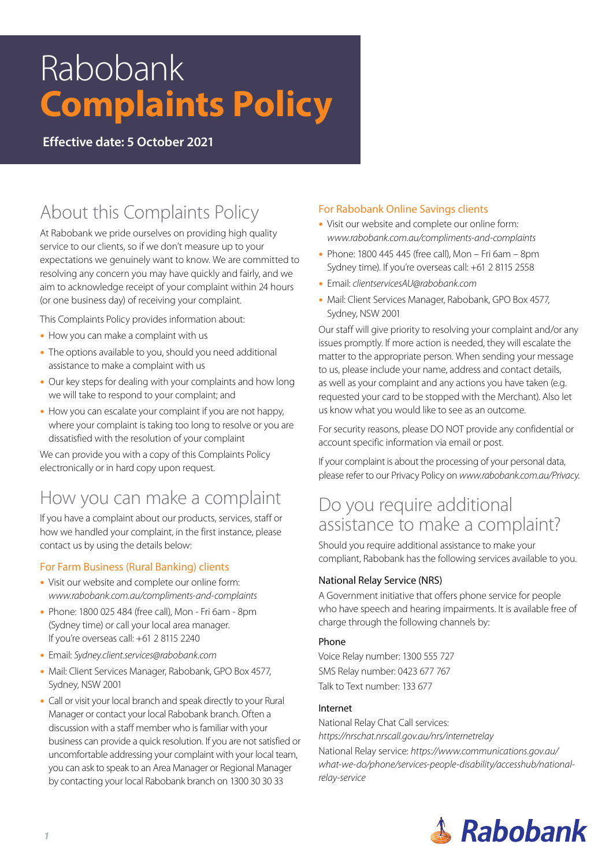# Rabobank **Complaints Policy**

**Effective date: 5 October 2021**

# About this Complaints Policy

At Rabobank we pride ourselves on providing high quality service to our clients, so if we don't measure up to your expectations we genuinely want to know. We are committed to resolving any concern you may have quickly and fairly, and we aim to acknowledge receipt of your complaint within 24 hours (or one business day) of receiving your complaint.

This Complaints Policy provides information about:

- How you can make a complaint with us
- The options available to you, should you need additional assistance to make a complaint with us
- Our key steps for dealing with your complaints and how long we will take to respond to your complaint; and
- How you can escalate your complaint if you are not happy, where your complaint is taking too long to resolve or you are dissatisfied with the resolution of your complaint

We can provide you with a copy of this Complaints Policy electronically or in hard copy upon request.

# How you can make a complaint

If you have a complaint about our products, services, staff or how we handled your complaint, in the first instance, please contact us by using the details below:

#### For Farm Business (Rural Banking) clients

- Visit our website and complete our online form: *www.rabobank.com.au/compliments-and-complaints*
- Phone: 1800 025 484 (free call), Mon Fri 6am 8pm (Sydney time) or call your local area manager. If you're overseas call: +61 2 8115 2240
- y Email: *Sydney.client.services@rabobank.com*
- Mail: Client Services Manager, Rabobank, GPO Box 4577, Sydney, NSW 2001
- Call or visit your local branch and speak directly to your Rural Manager or contact your local Rabobank branch. Often a discussion with a staff member who is familiar with your business can provide a quick resolution. If you are not satisfied or uncomfortable addressing your complaint with your local team, you can ask to speak to an Area Manager or Regional Manager by contacting your local Rabobank branch on 1300 30 30 33

#### For Rabobank Online Savings clients

- Visit our website and complete our online form: *www.rabobank.com.au/compliments-and-complaints*
- $\bullet$  Phone: 1800 445 445 (free call), Mon Fri 6am 8pm Sydney time). If you're overseas call: +61 2 8115 2558
- y Email: *clientservicesAU@rabobank.com*
- Mail: Client Services Manager, Rabobank, GPO Box 4577, Sydney, NSW 2001

Our staff will give priority to resolving your complaint and/or any issues promptly. If more action is needed, they will escalate the matter to the appropriate person. When sending your message to us, please include your name, address and contact details, as well as your complaint and any actions you have taken (e.g. requested your card to be stopped with the Merchant). Also let us know what you would like to see as an outcome.

For security reasons, please DO NOT provide any confidential or account specific information via email or post.

If your complaint is about the processing of your personal data, please refer to our Privacy Policy on *www.rabobank.com.au/Privacy*.

## Do you require additional assistance to make a complaint?

Should you require additional assistance to make your compliant, Rabobank has the following services available to you.

#### National Relay Service (NRS)

A Government initiative that offers phone service for people who have speech and hearing impairments. It is available free of charge through the following channels by:

#### Phone

Voice Relay number: 1300 555 727 SMS Relay number: 0423 677 767 Talk to Text number: 133 677

#### Internet

National Relay Chat Call services: *https://nrschat.nrscall.gov.au/nrs/internetrelay* National Relay service: *https://www.communications.gov.au/ what-we-do/phone/services-people-disability/accesshub/nationalrelay-service*